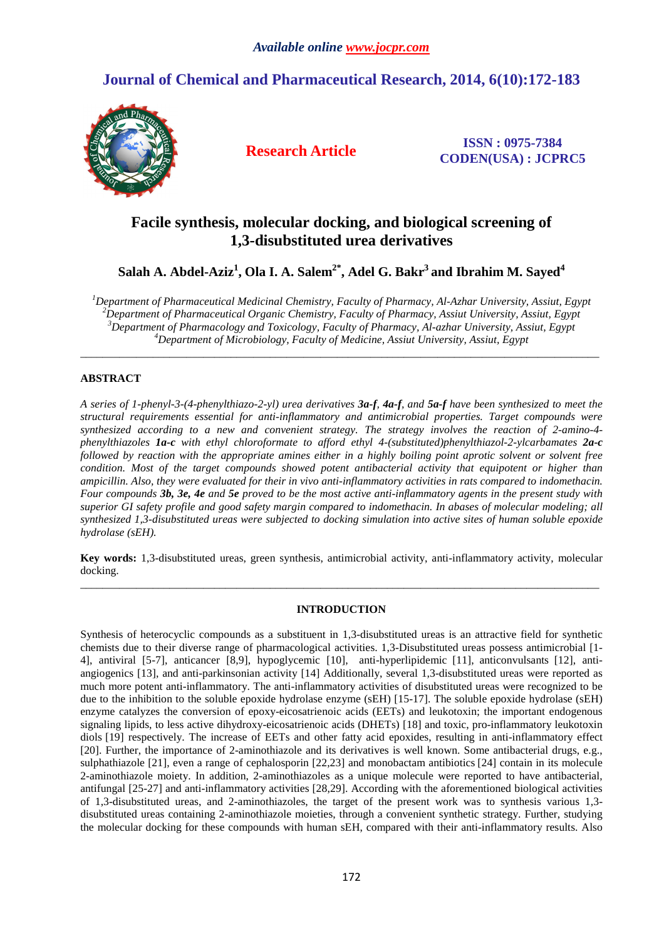# **Journal of Chemical and Pharmaceutical Research, 2014, 6(10):172-183**



**Research Article ISSN : 0975-7384 CODEN(USA) : JCPRC5**

## **Facile synthesis, molecular docking, and biological screening of 1,3-disubstituted urea derivatives**

**Salah A. Abdel-Aziz<sup>1</sup> , Ola I. A. Salem2\*, Adel G. Bakr<sup>3</sup>and Ibrahim M. Sayed<sup>4</sup>**

*Department of Pharmaceutical Medicinal Chemistry, Faculty of Pharmacy, Al-Azhar University, Assiut, Egypt Department of Pharmaceutical Organic Chemistry, Faculty of Pharmacy, Assiut University, Assiut, Egypt Department of Pharmacology and Toxicology, Faculty of Pharmacy, Al-azhar University, Assiut, Egypt Department of Microbiology, Faculty of Medicine, Assiut University, Assiut, Egypt* 

*\_\_\_\_\_\_\_\_\_\_\_\_\_\_\_\_\_\_\_\_\_\_\_\_\_\_\_\_\_\_\_\_\_\_\_\_\_\_\_\_\_\_\_\_\_\_\_\_\_\_\_\_\_\_\_\_\_\_\_\_\_\_\_\_\_\_\_\_\_\_\_\_\_\_\_\_\_\_\_\_\_\_\_\_\_\_\_\_\_\_\_\_\_* 

## **ABSTRACT**

*A series of 1-phenyl-3-(4-phenylthiazo-2-yl) urea derivatives 3a-f, 4a-f, and 5a-f have been synthesized to meet the structural requirements essential for anti-inflammatory and antimicrobial properties. Target compounds were synthesized according to a new and convenient strategy. The strategy involves the reaction of 2-amino-4 phenylthiazoles 1a-c with ethyl chloroformate to afford ethyl 4-(substituted)phenylthiazol-2-ylcarbamates 2a-c followed by reaction with the appropriate amines either in a highly boiling point aprotic solvent or solvent free condition. Most of the target compounds showed potent antibacterial activity that equipotent or higher than ampicillin. Also, they were evaluated for their in vivo anti-inflammatory activities in rats compared to indomethacin. Four compounds 3b, 3e, 4e and 5e proved to be the most active anti-inflammatory agents in the present study with superior GI safety profile and good safety margin compared to indomethacin. In abases of molecular modeling; all synthesized 1,3-disubstituted ureas were subjected to docking simulation into active sites of human soluble epoxide hydrolase (sEH).* 

**Key words:** 1,3-disubstituted ureas, green synthesis, antimicrobial activity, anti-inflammatory activity, molecular docking. *\_\_\_\_\_\_\_\_\_\_\_\_\_\_\_\_\_\_\_\_\_\_\_\_\_\_\_\_\_\_\_\_\_\_\_\_\_\_\_\_\_\_\_\_\_\_\_\_\_\_\_\_\_\_\_\_\_\_\_\_\_\_\_\_\_\_\_\_\_\_\_\_\_\_\_\_\_\_\_\_\_\_\_\_\_\_\_\_\_\_\_\_\_* 

## **INTRODUCTION**

Synthesis of heterocyclic compounds as a substituent in 1,3-disubstituted ureas is an attractive field for synthetic chemists due to their diverse range of pharmacological activities. 1,3-Disubstituted ureas possess antimicrobial [1- 4], antiviral [5-7], anticancer [8,9], hypoglycemic [10], anti-hyperlipidemic [11], anticonvulsants [12], antiangiogenics [13], and anti-parkinsonian activity [14] Additionally, several 1,3-disubstituted ureas were reported as much more potent anti-inflammatory. The anti-inflammatory activities of disubstituted ureas were recognized to be due to the inhibition to the soluble epoxide hydrolase enzyme (sEH) [15-17]. The soluble epoxide hydrolase (sEH) enzyme catalyzes the conversion of epoxy-eicosatrienoic acids (EETs) and leukotoxin; the important endogenous signaling lipids, to less active dihydroxy-eicosatrienoic acids (DHETs) [18] and toxic, pro-inflammatory leukotoxin diols [19] respectively. The increase of EETs and other fatty acid epoxides, resulting in anti-inflammatory effect [20]. Further, the importance of 2-aminothiazole and its derivatives is well known. Some antibacterial drugs, e.g., sulphathiazole [21], even a range of cephalosporin [22,23] and monobactam antibiotics [24] contain in its molecule 2-aminothiazole moiety. In addition, 2-aminothiazoles as a unique molecule were reported to have antibacterial, antifungal [25-27] and anti-inflammatory activities [28,29]. According with the aforementioned biological activities of 1,3-disubstituted ureas, and 2-aminothiazoles, the target of the present work was to synthesis various 1,3 disubstituted ureas containing 2-aminothiazole moieties, through a convenient synthetic strategy. Further, studying the molecular docking for these compounds with human sEH, compared with their anti-inflammatory results. Also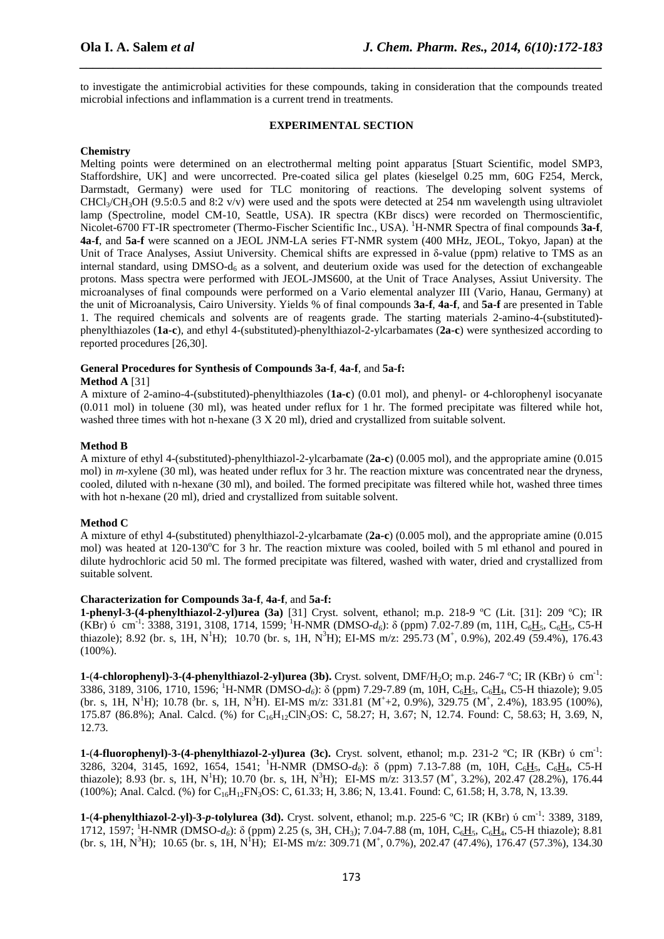to investigate the antimicrobial activities for these compounds, taking in consideration that the compounds treated microbial infections and inflammation is a current trend in treatments.

*\_\_\_\_\_\_\_\_\_\_\_\_\_\_\_\_\_\_\_\_\_\_\_\_\_\_\_\_\_\_\_\_\_\_\_\_\_\_\_\_\_\_\_\_\_\_\_\_\_\_\_\_\_\_\_\_\_\_\_\_\_\_\_\_\_\_\_\_\_\_\_\_\_\_\_\_\_\_*

#### **EXPERIMENTAL SECTION**

#### **Chemistry**

Melting points were determined on an electrothermal melting point apparatus [Stuart Scientific, model SMP3, Staffordshire, UK] and were uncorrected. Pre-coated silica gel plates (kieselgel 0.25 mm, 60G F254, Merck, Darmstadt, Germany) were used for TLC monitoring of reactions. The developing solvent systems of  $CHCl<sub>3</sub>/CH<sub>3</sub>OH$  (9.5:0.5 and 8:2 v/v) were used and the spots were detected at 254 nm wavelength using ultraviolet lamp (Spectroline, model CM-10, Seattle, USA). IR spectra (KBr discs) were recorded on Thermoscientific, Nicolet-6700 FT-IR spectrometer (Thermo-Fischer Scientific Inc., USA). <sup>1</sup>H-NMR Spectra of final compounds **3a-f**, **4a-f**, and **5a-f** were scanned on a JEOL JNM-LA series FT-NMR system (400 MHz, JEOL, Tokyo, Japan) at the Unit of Trace Analyses, Assiut University. Chemical shifts are expressed in δ-value (ppm) relative to TMS as an internal standard, using DMSO-d<sub>6</sub> as a solvent, and deuterium oxide was used for the detection of exchangeable protons. Mass spectra were performed with JEOL-JMS600, at the Unit of Trace Analyses, Assiut University. The microanalyses of final compounds were performed on a Vario elemental analyzer III (Vario, Hanau, Germany) at the unit of Microanalysis, Cairo University. Yields % of final compounds **3a-f**, **4a-f**, and **5a-f** are presented in Table 1. The required chemicals and solvents are of reagents grade. The starting materials 2-amino-4-(substituted) phenylthiazoles (**1a-c**), and ethyl 4-(substituted)-phenylthiazol-2-ylcarbamates (**2a-c**) were synthesized according to reported procedures [26,30].

#### **General Procedures for Synthesis of Compounds 3a-f**, **4a-f**, and **5a-f:**

#### **Method A** [31]

A mixture of 2-amino-4-(substituted)-phenylthiazoles (**1a-c**) (0.01 mol), and phenyl- or 4-chlorophenyl isocyanate (0.011 mol) in toluene (30 ml), was heated under reflux for 1 hr. The formed precipitate was filtered while hot, washed three times with hot n-hexane (3 X 20 ml), dried and crystallized from suitable solvent.

#### **Method B**

A mixture of ethyl 4-(substituted)-phenylthiazol-2-ylcarbamate (**2a-c**) (0.005 mol), and the appropriate amine (0.015 mol) in *m*-xylene (30 ml), was heated under reflux for 3 hr. The reaction mixture was concentrated near the dryness, cooled, diluted with n-hexane (30 ml), and boiled. The formed precipitate was filtered while hot, washed three times with hot n-hexane (20 ml), dried and crystallized from suitable solvent.

#### **Method C**

A mixture of ethyl 4-(substituted) phenylthiazol-2-ylcarbamate (**2a-c**) (0.005 mol), and the appropriate amine (0.015 mol) was heated at 120-130<sup>o</sup>C for 3 hr. The reaction mixture was cooled, boiled with 5 ml ethanol and poured in dilute hydrochloric acid 50 ml. The formed precipitate was filtered, washed with water, dried and crystallized from suitable solvent.

## **Characterization for Compounds 3a-f**, **4a-f**, and **5a-f:**

**1-phenyl-3-(4-phenylthiazol-2-yl)urea (3a)** [31] Cryst. solvent, ethanol; m.p. 218-9 ºC (Lit. [31]: 209 ºC); IR  $(KBr)$  o cm<sup>-1</sup>: 3388, 3191, 3108, 1714, 1599; <sup>1</sup>H-NMR (DMSO- $d_6$ ): δ (ppm) 7.02-7.89 (m, 11H, C<sub>6</sub>H<sub>5</sub>, C<sub>6</sub>H<sub>5</sub>, C5-H thiazole); 8.92 (br. s, 1H, N<sup>1</sup>H); 10.70 (br. s, 1H, N<sup>3</sup>H); EI-MS m/z: 295.73 (M<sup>+</sup>, 0.9%), 202.49 (59.4%), 176.43 (100%).

**1-(4-chlorophenyl)-3-(4-phenylthiazol-2-yl)urea (3b).** Cryst. solvent, DMF/H<sub>2</sub>O; m.p. 246-7 °C; IR (KBr) v cm<sup>-1</sup>: 3386, 3189, 3106, 1710, 1596; <sup>1</sup>H-NMR (DMSO-*d6*): δ (ppm) 7.29-7.89 (m, 10H, C6H5, C6H4, C5-H thiazole); 9.05 (br. s, 1H, N<sup>1</sup>H); 10.78 (br. s, 1H, N<sup>3</sup>H). EI-MS m/z: 331.81 (M<sup>+</sup>+2, 0.9%), 329.75 (M<sup>+</sup>, 2.4%), 183.95 (100%), 175.87 (86.8%); Anal. Calcd. (%) for C<sub>16</sub>H<sub>12</sub>ClN<sub>3</sub>OS: C, 58.27; H, 3.67; N, 12.74. Found: C, 58.63; H, 3.69, N, 12.73.

**1-**(**4-fluorophenyl)-3-(4-phenylthiazol-2-yl)urea (3c).** Cryst. solvent, ethanol; m.p. 231-2 ºC; IR (KBr) ύ cm-1: 3286, 3204, 3145, 1692, 1654, 1541; <sup>1</sup>H-NMR (DMSO-*d6*): δ (ppm) 7.13-7.88 (m, 10H, C6H5, C6H4, C5-H thiazole); 8.93 (br. s, 1H, N<sup>1</sup>H); 10.70 (br. s, 1H, N<sup>3</sup>H); EI-MS m/z: 313.57 (M<sup>+</sup>, 3.2%), 202.47 (28.2%), 176.44 (100%); Anal. Calcd. (%) for C16H12FN3OS: C, 61.33; H, 3.86; N, 13.41. Found: C, 61.58; H, 3.78, N, 13.39.

**1-**(**4-phenylthiazol-2-yl)-3**-*p***-tolylurea (3d).** Cryst. solvent, ethanol; m.p. 225-6 ºC; IR (KBr) ύ cm-1: 3389, 3189, 1712, 1597; <sup>1</sup>H-NMR (DMSO-*d*<sub>6</sub>): δ (ppm) 2.25 (s, 3H, CH<sub>3</sub>); 7.04-7.88 (m, 10H, C<sub>6</sub>H<sub>5</sub>, C<sub>6</sub>H<sub>4</sub>, C5-H thiazole); 8.81  $(br. s, 1H, N^3H)$ ; 10.65 (br. s, 1H, N<sup>1</sup>H); EI-MS m/z: 309.71 (M<sup>+</sup>, 0.7%), 202.47 (47.4%), 176.47 (57.3%), 134.30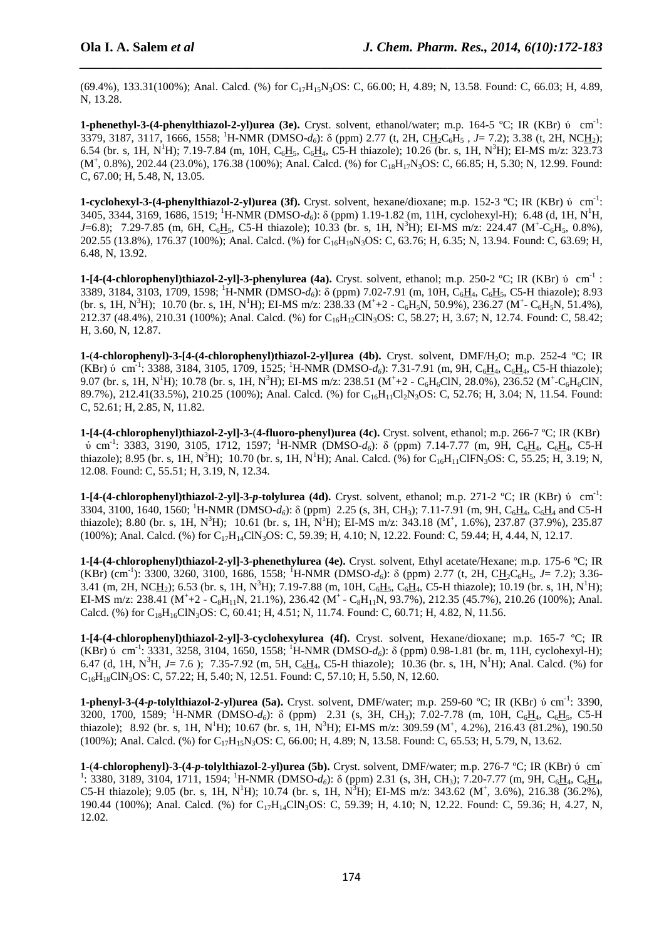(69.4%), 133.31(100%); Anal. Calcd. (%) for C<sub>17</sub>H<sub>15</sub>N<sub>3</sub>OS: C, 66.00; H, 4.89; N, 13.58. Found: C, 66.03; H, 4.89, N, 13.28.

*\_\_\_\_\_\_\_\_\_\_\_\_\_\_\_\_\_\_\_\_\_\_\_\_\_\_\_\_\_\_\_\_\_\_\_\_\_\_\_\_\_\_\_\_\_\_\_\_\_\_\_\_\_\_\_\_\_\_\_\_\_\_\_\_\_\_\_\_\_\_\_\_\_\_\_\_\_\_*

**1-phenethyl-3-(4-phenylthiazol-2-yl)urea (3e).** Cryst. solvent, ethanol/water; m.p. 164-5 °C; IR (KBr) ú cm<sup>-1</sup>: 3379, 3187, 3117, 1666, 1558; <sup>1</sup>H-NMR (DMSO-*d6*): δ (ppm) 2.77 (t, 2H, CH2C6H5 *, J*= 7.2); 3.38 (t, 2H, NCH2); 6.54 (br. s, 1H, N<sup>1</sup>H); 7.19-7.84 (m, 10H, C<sub>6</sub>H<sub>3</sub>, C<sub>6</sub>H<sub>4</sub>, C5-H thiazole); 10.26 (br. s, 1H, N<sup>3</sup>H); EI-MS m/z: 323.73  $(M^+, 0.8\%)$ , 202.44 (23.0%), 176.38 (100%); Anal. Calcd. (%) for C<sub>18</sub>H<sub>17</sub>N<sub>3</sub>OS: C, 66.85; H, 5.30; N, 12.99. Found: C, 67.00; H, 5.48, N, 13.05.

**1-cyclohexyl-3-(4-phenylthiazol-2-yl)urea (3f).** Cryst. solvent, hexane/dioxane; m.p. 152-3 °C; IR (KBr) v cm<sup>-1</sup>: 3405, 3344, 3169, 1686, 1519; <sup>1</sup>H-NMR (DMSO-*d6*): δ (ppm) 1.19-1.82 (m, 11H, cyclohexyl-H);6.48 (d, 1H, N<sup>1</sup>H*, J*=6.8); 7.29-7.85 (m, 6H, C<sub>6</sub>H<sub>5</sub>, C5-H thiazole); 10.33 (br. s, 1H, N<sup>3</sup>H); EI-MS m/z: 224.47 (M<sup>+</sup>-C<sub>6</sub>H<sub>5</sub>, 0.8%), 202.55 (13.8%), 176.37 (100%); Anal. Calcd. (%) for C16H19N3OS: C, 63.76; H, 6.35; N, 13.94. Found: C, 63.69; H, 6.48, N, 13.92.

**1-[4-(4-chlorophenyl)thiazol-2-yl]-3-phenylurea (4a).** Cryst. solvent, ethanol; m.p. 250-2 ºC; IR (KBr) ύ cm-1 : 3389, 3184, 3103, 1709, 1598; <sup>1</sup>H-NMR (DMSO-*d6*): δ (ppm) 7.02-7.91 (m, 10H, C6H4, C6H5, C5-H thiazole); 8.93 (br. s, 1H, N<sup>3</sup>H); 10.70 (br. s, 1H, N<sup>1</sup>H); EI-MS m/z: 238.33 (M<sup>+</sup>+2 - C<sub>6</sub>H<sub>5</sub>N, 50.9%), 236.27 (M<sup>+</sup>- C<sub>6</sub>H<sub>5</sub>N, 51.4%), 212.37 (48.4%), 210.31 (100%); Anal. Calcd. (%) for C<sub>16</sub>H<sub>12</sub>ClN<sub>3</sub>OS: C, 58.27; H, 3.67; N, 12.74. Found: C, 58.42; H, 3.60, N, 12.87.

**1-**(**4-chlorophenyl)-3-[4-(4-chlorophenyl)thiazol-2-yl]urea (4b).** Cryst. solvent, DMF/H2O; m.p. 252-4 ºC; IR  $(KBr)$  ó cm<sup>-1</sup>: 3388, 3184, 3105, 1709, 1525; <sup>1</sup>H-NMR (DMSO-*d*<sub>6</sub>): 7.31-7.91 (m, 9H, C<sub>6</sub>H<sub>4</sub>, C<sub>6</sub>H<sub>4</sub>, C5-H thiazole); 9.07 (br. s, 1H, N<sup>1</sup>H); 10.78 (br. s, 1H, N<sup>3</sup>H); EI-MS m/z: 238.51 (M<sup>+</sup>+2 - C<sub>6</sub>H<sub>6</sub>ClN, 28.0%), 236.52 (M<sup>+</sup>-C<sub>6</sub>H<sub>6</sub>ClN, 89.7%), 212.41(33.5%), 210.25 (100%); Anal. Calcd. (%) for C<sub>16</sub>H<sub>11</sub>Cl<sub>2</sub>N<sub>3</sub>OS: C, 52.76; H, 3.04; N, 11.54. Found: C, 52.61; H, 2.85, N, 11.82.

**1-[4-(4-chlorophenyl)thiazol-2-yl]-3-**(**4-fluoro-phenyl)urea (4c).** Cryst. solvent, ethanol; m.p. 266-7 ºC; IR (KBr)  $\acute{b}$  cm<sup>-1</sup>: 3383, 3190, 3105, 1712, 1597; <sup>1</sup>H-NMR (DMSO-*d*<sub>6</sub>): δ (ppm) 7.14-7.77 (m, 9H, C<sub>6</sub>H<sub>4</sub>, C<sub>6</sub>H<sub>4</sub>, C5-H thiazole); 8.95 (br. s, 1H, N<sup>3</sup>H); 10.70 (br. s, 1H, N<sup>1</sup>H); Anal. Calcd. (%) for C<sub>16</sub>H<sub>11</sub>ClFN<sub>3</sub>OS: C, 55.25; H, 3.19; N, 12.08. Found: C, 55.51; H, 3.19, N, 12.34.

**1-[4-(4-chlorophenyl)thiazol-2-yl]-3**-*p***-tolylurea (4d).** Cryst. solvent, ethanol; m.p. 271-2 ºC; IR (KBr) ύ cm-1: 3304, 3100, 1640, 1560; <sup>1</sup>H-NMR (DMSO-*d*<sub>6</sub>):  $\delta$  (ppm) 2.25 (s, 3H, CH<sub>3</sub>); 7.11-7.91 (m, 9H, C<sub>6</sub>H<sub>4</sub>, C<sub>6</sub>H<sub>4</sub> and C5-H thiazole); 8.80 (br. s, 1H, N<sup>3</sup>H); 10.61 (br. s, 1H, N<sup>1</sup>H); EI-MS m/z: 343.18 (M<sup>+</sup>, 1.6%), 237.87 (37.9%), 235.87 (100%); Anal. Calcd. (%) for C17H14ClN3OS: C, 59.39; H, 4.10; N, 12.22. Found: C, 59.44; H, 4.44, N, 12.17.

**1-[4-(4-chlorophenyl)thiazol-2-yl]-3**-**phenethylurea (4e).** Cryst. solvent, Ethyl acetate/Hexane; m.p. 175-6 ºC; IR (KBr) (cm-1): 3300, 3260, 3100, 1686, 1558; <sup>1</sup>H-NMR (DMSO-*d6*): δ (ppm) 2.77 (t, 2H, CH2C6H5, *J*= 7.2); 3.36- 3.41 (m, 2H, NCH<sub>2</sub>); 6.53 (br. s, 1H, N<sup>3</sup>H); 7.19-7.88 (m, 10H, C<sub>6</sub>H<sub>3</sub>, C<sub>6</sub>H<sub>4</sub>, C5-H thiazole); 10.19 (br. s, 1H, N<sup>1</sup>H); EI-MS m/z: 238.41 (M<sup>+</sup>+2 - C<sub>8</sub>H<sub>11</sub>N, 21.1%), 236.42 (M<sup>+</sup> - C<sub>8</sub>H<sub>11</sub>N, 93.7%), 212.35 (45.7%), 210.26 (100%); Anal. Calcd. (%) for  $C_{18}H_{16}CIN_3OS$ : C, 60.41; H, 4.51; N, 11.74. Found: C, 60.71; H, 4.82, N, 11.56.

**1-[4-(4-chlorophenyl)thiazol-2-yl]-3**-**cyclohexylurea (4f).** Cryst. solvent, Hexane/dioxane; m.p. 165-7 ºC; IR  $(KBr)$  o cm<sup>-1</sup>: 3331, 3258, 3104, 1650, 1558; <sup>1</sup>H-NMR (DMSO- $d_6$ ):  $\delta$  (ppm) 0.98-1.81 (br. m, 11H, cyclohexyl-H); 6.47 (d, 1H, N<sup>3</sup>H, J= 7.6); 7.35-7.92 (m, 5H, C<sub>6</sub>H<sub>4</sub>, C5-H thiazole); 10.36 (br. s, 1H, N<sup>1</sup>H); Anal. Calcd. (%) for C16H18ClN3OS: C, 57.22; H, 5.40; N, 12.51. Found: C, 57.10; H, 5.50, N, 12.60.

**1-phenyl-3-(4-***p***-tolylthiazol-2-yl)urea (5a).** Cryst. solvent, DMF/water; m.p. 259-60 ºC; IR (KBr) ύ cm-1: 3390, 3200, 1700, 1589; <sup>1</sup>H-NMR (DMSO-*d*<sub>6</sub>): δ (ppm) 2.31 (s, 3H, CH<sub>3</sub>); 7.02-7.78 (m, 10H, C<sub>6</sub>H<sub>4</sub>, C<sub>6</sub>H<sub>5</sub>, C5-H thiazole); 8.92 (br. s, 1H, N<sup>1</sup>H); 10.67 (br. s, 1H, N<sup>3</sup>H); EI-MS m/z: 309.59 (M<sup>+</sup>, 4.2%), 216.43 (81.2%), 190.50  $(100\%)$ ; Anal. Calcd. (%) for  $C_{17}H_{15}N_3OS$ : C, 66.00; H, 4.89; N, 13.58. Found: C, 65.53; H, 5.79, N, 13.62.

**1-(4-chlorophenyl)-3-(4-***p***-tolylthiazol-2-yl)urea (5b).** Cryst. solvent, DMF/water; m.p. 276-7 °C; IR (KBr) ú cm  $^{1}$ : 3380, 3189, 3104, 1711, 1594; <sup>1</sup>H-NMR (DMSO-*d*<sub>6</sub>): δ (ppm) 2.31 (s, 3H, CH<sub>3</sub>); 7.20-7.77 (m, 9H, C<sub>6</sub>H<sub>4</sub>, C<sub>6</sub>H<sub>4</sub>, C5-H thiazole); 9.05 (br. s, 1H, N<sup>1</sup>H); 10.74 (br. s, 1H, N<sup>3</sup>H); EI-MS m/z: 343.62 (M<sup>+</sup>, 3.6%), 216.38 (36.2%), 190.44 (100%); Anal. Calcd. (%) for C17H14ClN3OS: C, 59.39; H, 4.10; N, 12.22. Found: C, 59.36; H, 4.27, N, 12.02.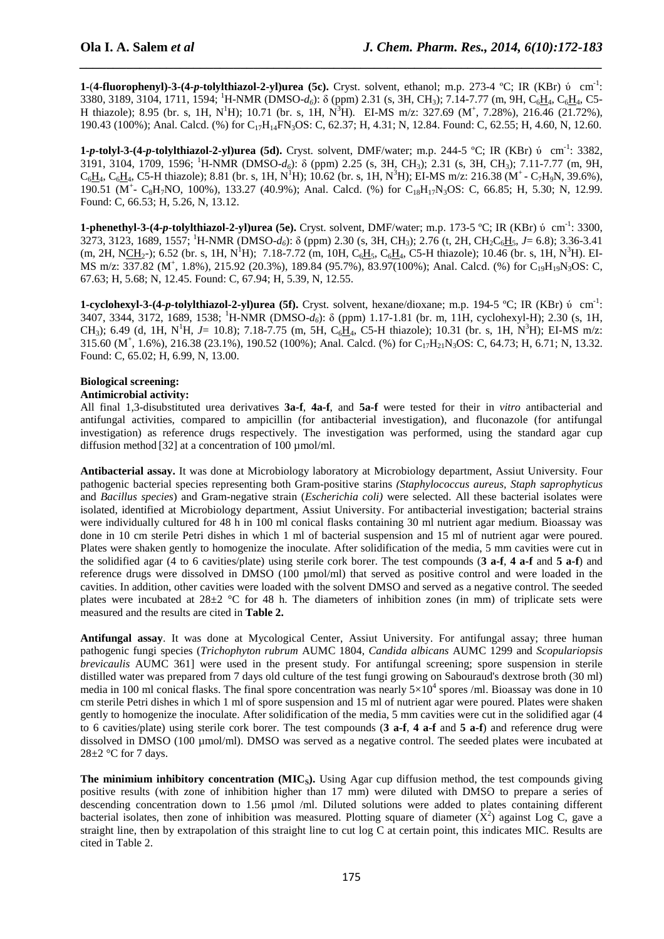**1-**(**4-fluorophenyl)-3-(4-***p***-tolylthiazol-2-yl)urea (5c).** Cryst. solvent, ethanol; m.p. 273-4 ºC; IR (KBr) ύ cm-1: 3380, 3189, 3104, 1711, 1594; <sup>1</sup>H-NMR (DMSO-*d6*): δ (ppm) 2.31 (s, 3H, CH3); 7.14-7.77 (m, 9H, C6H4, C6H4, C5- H thiazole); 8.95 (br. s, 1H, N<sup>1</sup>H); 10.71 (br. s, 1H, N<sup>3</sup>H). EI-MS m/z: 327.69 (M<sup>+</sup>, 7.28%), 216.46 (21.72%), 190.43 (100%); Anal. Calcd. (%) for C<sub>17</sub>H<sub>14</sub>FN<sub>3</sub>OS: C, 62.37; H, 4.31; N, 12.84. Found: C, 62.55; H, 4.60, N, 12.60.

*\_\_\_\_\_\_\_\_\_\_\_\_\_\_\_\_\_\_\_\_\_\_\_\_\_\_\_\_\_\_\_\_\_\_\_\_\_\_\_\_\_\_\_\_\_\_\_\_\_\_\_\_\_\_\_\_\_\_\_\_\_\_\_\_\_\_\_\_\_\_\_\_\_\_\_\_\_\_*

**1-***p***-tolyl-3-(4-***p***-tolylthiazol-2-yl)urea (5d).** Cryst. solvent, DMF/water; m.p. 244-5 ºC; IR (KBr) ύ cm-1: 3382, 3191, 3104, 1709, 1596; <sup>1</sup>H-NMR (DMSO-*d6*): δ (ppm) 2.25 (s, 3H, CH3); 2.31 (s, 3H, CH3); 7.11-7.77 (m, 9H,  $C_6H_4$ ,  $C_6H_4$ , C5-H thiazole); 8.81 (br. s, 1H, N<sup>1</sup>H); 10.62 (br. s, 1H, N<sup>3</sup>H); EI-MS m/z: 216.38 (M<sup>+</sup> - C<sub>7</sub>H<sub>9</sub>N, 39.6%), 190.51 (M<sup>+</sup>- C<sub>8</sub>H<sub>7</sub>NO, 100%), 133.27 (40.9%); Anal. Calcd. (%) for C<sub>18</sub>H<sub>17</sub>N<sub>3</sub>OS: C, 66.85; H, 5.30; N, 12.99. Found: C, 66.53; H, 5.26, N, 13.12.

**1-phenethyl-3-(4-***p***-tolylthiazol-2-yl)urea (5e).** Cryst. solvent, DMF/water; m.p. 173-5 °C; IR (KBr) v cm<sup>-1</sup>: 3300, 3273, 3123, 1689, 1557; <sup>1</sup>H-NMR (DMSO-*d6*): δ (ppm) 2.30 (s, 3H, CH3); 2.76 (t, 2H, CH2C6H5, *J*= 6.8); 3.36-3.41 (m, 2H, NCH<sub>2</sub>-); 6.52 (br. s, 1H, N<sup>1</sup>H); 7.18-7.72 (m, 10H, C<sub>6</sub>H<sub>3</sub>, C<sub>6</sub>H<sub>4</sub>, C5-H thiazole); 10.46 (br. s, 1H, N<sup>3</sup>H). EI-MS m/z: 337.82 (M<sup>+</sup>, 1.8%), 215.92 (20.3%), 189.84 (95.7%), 83.97(100%); Anal. Calcd. (%) for C<sub>19</sub>H<sub>19</sub>N<sub>3</sub>OS: C, 67.63; H, 5.68; N, 12.45. Found: C, 67.94; H, 5.39, N, 12.55.

**1-cyclohexyl-3-(4-***p***-tolylthiazol-2-yl)urea (5f).** Cryst. solvent, hexane/dioxane; m.p. 194-5 °C; IR (KBr) v cm<sup>-1</sup>: 3407, 3344, 3172, 1689, 1538; <sup>1</sup>H-NMR (DMSO-*d6*): δ (ppm) 1.17-1.81 (br. m, 11H, cyclohexyl-H); 2.30 (s, 1H, CH<sub>3</sub>); 6.49 (d, 1H, N<sup>1</sup>H, *J*= 10.8); 7.18-7.75 (m, 5H, C<sub>6</sub>H<sub>4</sub>, C5-H thiazole); 10.31 (br. s, 1H, N<sup>3</sup>H); EI-MS m/z: 315.60 (M<sup>+</sup>, 1.6%), 216.38 (23.1%), 190.52 (100%); Anal. Calcd. (%) for C<sub>17</sub>H<sub>21</sub>N<sub>3</sub>OS: C, 64.73; H, 6.71; N, 13.32. Found: C, 65.02; H, 6.99, N, 13.00.

## **Biological screening:**

#### **Antimicrobial activity:**

All final 1,3-disubstituted urea derivatives **3a-f**, **4a-f**, and **5a-f** were tested for their in *vitro* antibacterial and antifungal activities, compared to ampicillin (for antibacterial investigation), and fluconazole (for antifungal investigation) as reference drugs respectively. The investigation was performed, using the standard agar cup diffusion method [32] at a concentration of 100 µmol/ml.

**Antibacterial assay.** It was done at Microbiology laboratory at Microbiology department, Assiut University. Four pathogenic bacterial species representing both Gram-positive starins *(Staphylococcus aureus, Staph saprophyticus* and *Bacillus species*) and Gram-negative strain (*Escherichia coli)* were selected. All these bacterial isolates were isolated, identified at Microbiology department, Assiut University. For antibacterial investigation; bacterial strains were individually cultured for 48 h in 100 ml conical flasks containing 30 ml nutrient agar medium. Bioassay was done in 10 cm sterile Petri dishes in which 1 ml of bacterial suspension and 15 ml of nutrient agar were poured. Plates were shaken gently to homogenize the inoculate. After solidification of the media, 5 mm cavities were cut in the solidified agar (4 to 6 cavities/plate) using sterile cork borer. The test compounds (**3 a-f**, **4 a-f** and **5 a-f**) and reference drugs were dissolved in DMSO (100 µmol/ml) that served as positive control and were loaded in the cavities. In addition, other cavities were loaded with the solvent DMSO and served as a negative control. The seeded plates were incubated at  $28\pm2$  °C for 48 h. The diameters of inhibition zones (in mm) of triplicate sets were measured and the results are cited in **Table 2.**

**Antifungal assay**. It was done at Mycological Center, Assiut University. For antifungal assay; three human pathogenic fungi species (*Trichophyton rubrum* AUMC 1804, *Candida albicans* AUMC 1299 and *Scopulariopsis brevicaulis* AUMC 361] were used in the present study. For antifungal screening; spore suspension in sterile distilled water was prepared from 7 days old culture of the test fungi growing on Sabouraud's dextrose broth (30 ml) media in 100 ml conical flasks. The final spore concentration was nearly  $5\times10^4$  spores /ml. Bioassay was done in 10 cm sterile Petri dishes in which 1 ml of spore suspension and 15 ml of nutrient agar were poured. Plates were shaken gently to homogenize the inoculate. After solidification of the media, 5 mm cavities were cut in the solidified agar (4 to 6 cavities/plate) using sterile cork borer. The test compounds (**3 a-f**, **4 a-f** and **5 a-f**) and reference drug were dissolved in DMSO (100 µmol/ml). DMSO was served as a negative control. The seeded plates were incubated at  $28\pm2$  °C for 7 days.

**The minimium inhibitory concentration (MIC<sub>s</sub>).** Using Agar cup diffusion method, the test compounds giving positive results (with zone of inhibition higher than 17 mm) were diluted with DMSO to prepare a series of descending concentration down to 1.56 µmol /ml. Diluted solutions were added to plates containing different bacterial isolates, then zone of inhibition was measured. Plotting square of diameter  $(X^2)$  against Log C, gave a straight line, then by extrapolation of this straight line to cut log C at certain point, this indicates MIC. Results are cited in Table 2.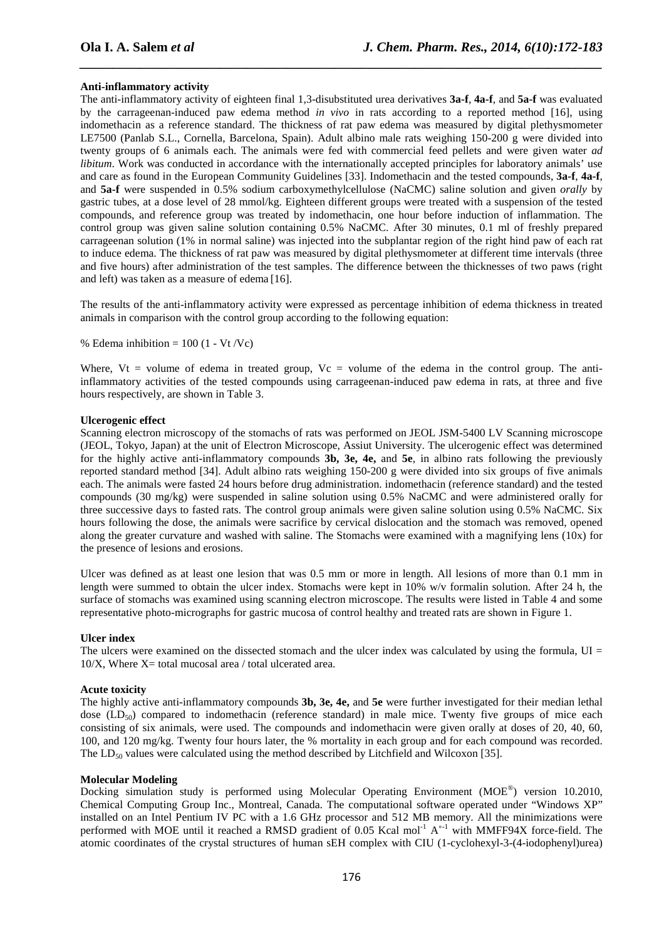#### **Anti-inflammatory activity**

The anti-inflammatory activity of eighteen final 1,3-disubstituted urea derivatives **3a-f**, **4a-f**, and **5a-f** was evaluated by the carrageenan-induced paw edema method *in vivo* in rats according to a reported method [16], using indomethacin as a reference standard. The thickness of rat paw edema was measured by digital plethysmometer LE7500 (Panlab S.L., Cornella, Barcelona, Spain). Adult albino male rats weighing 150-200 g were divided into twenty groups of 6 animals each. The animals were fed with commercial feed pellets and were given water *ad libitum*. Work was conducted in accordance with the internationally accepted principles for laboratory animals' use and care as found in the European Community Guidelines [33]. Indomethacin and the tested compounds, **3a-f**, **4a-f**, and **5a-f** were suspended in 0.5% sodium carboxymethylcellulose (NaCMC) saline solution and given *orally* by gastric tubes, at a dose level of 28 mmol/kg. Eighteen different groups were treated with a suspension of the tested compounds, and reference group was treated by indomethacin, one hour before induction of inflammation. The control group was given saline solution containing 0.5% NaCMC. After 30 minutes, 0.1 ml of freshly prepared carrageenan solution (1% in normal saline) was injected into the subplantar region of the right hind paw of each rat to induce edema. The thickness of rat paw was measured by digital plethysmometer at different time intervals (three and five hours) after administration of the test samples. The difference between the thicknesses of two paws (right and left) was taken as a measure of edema [16].

*\_\_\_\_\_\_\_\_\_\_\_\_\_\_\_\_\_\_\_\_\_\_\_\_\_\_\_\_\_\_\_\_\_\_\_\_\_\_\_\_\_\_\_\_\_\_\_\_\_\_\_\_\_\_\_\_\_\_\_\_\_\_\_\_\_\_\_\_\_\_\_\_\_\_\_\_\_\_*

The results of the anti-inflammatory activity were expressed as percentage inhibition of edema thickness in treated animals in comparison with the control group according to the following equation:

% Edema inhibition =  $100$  (1 - Vt /Vc)

Where,  $Vt =$  volume of edema in treated group,  $Vc =$  volume of the edema in the control group. The antiinflammatory activities of the tested compounds using carrageenan-induced paw edema in rats, at three and five hours respectively, are shown in Table 3.

### **Ulcerogenic effect**

Scanning electron microscopy of the stomachs of rats was performed on JEOL JSM-5400 LV Scanning microscope (JEOL, Tokyo, Japan) at the unit of Electron Microscope, Assiut University. The ulcerogenic effect was determined for the highly active anti-inflammatory compounds **3b, 3e, 4e,** and **5e**, in albino rats following the previously reported standard method [34]. Adult albino rats weighing 150-200 g were divided into six groups of five animals each. The animals were fasted 24 hours before drug administration. indomethacin (reference standard) and the tested compounds (30 mg/kg) were suspended in saline solution using 0.5% NaCMC and were administered orally for three successive days to fasted rats. The control group animals were given saline solution using 0.5% NaCMC. Six hours following the dose, the animals were sacrifice by cervical dislocation and the stomach was removed, opened along the greater curvature and washed with saline. The Stomachs were examined with a magnifying lens (10x) for the presence of lesions and erosions.

Ulcer was defined as at least one lesion that was 0.5 mm or more in length. All lesions of more than 0.1 mm in length were summed to obtain the ulcer index. Stomachs were kept in 10% w/v formalin solution. After 24 h, the surface of stomachs was examined using scanning electron microscope. The results were listed in Table 4 and some representative photo-micrographs for gastric mucosa of control healthy and treated rats are shown in Figure 1.

#### **Ulcer index**

The ulcers were examined on the dissected stomach and the ulcer index was calculated by using the formula,  $UI =$  $10/X$ , Where X= total mucosal area / total ulcerated area.

#### **Acute toxicity**

The highly active anti-inflammatory compounds **3b, 3e, 4e,** and **5e** were further investigated for their median lethal dose  $(LD<sub>50</sub>)$  compared to indomethacin (reference standard) in male mice. Twenty five groups of mice each consisting of six animals, were used. The compounds and indomethacin were given orally at doses of 20, 40, 60, 100, and 120 mg/kg. Twenty four hours later, the % mortality in each group and for each compound was recorded. The  $LD_{50}$  values were calculated using the method described by Litchfield and Wilcoxon [35].

#### **Molecular Modeling**

Docking simulation study is performed using Molecular Operating Environment (MOE®) version 10.2010, Chemical Computing Group Inc., Montreal, Canada. The computational software operated under "Windows XP" installed on an Intel Pentium IV PC with a 1.6 GHz processor and 512 MB memory. All the minimizations were performed with MOE until it reached a RMSD gradient of 0.05 Kcal mol<sup>-1</sup>  $A<sup>o-1</sup>$  with MMFF94X force-field. The atomic coordinates of the crystal structures of human sEH complex with CIU (1-cyclohexyl-3-(4-iodophenyl)urea)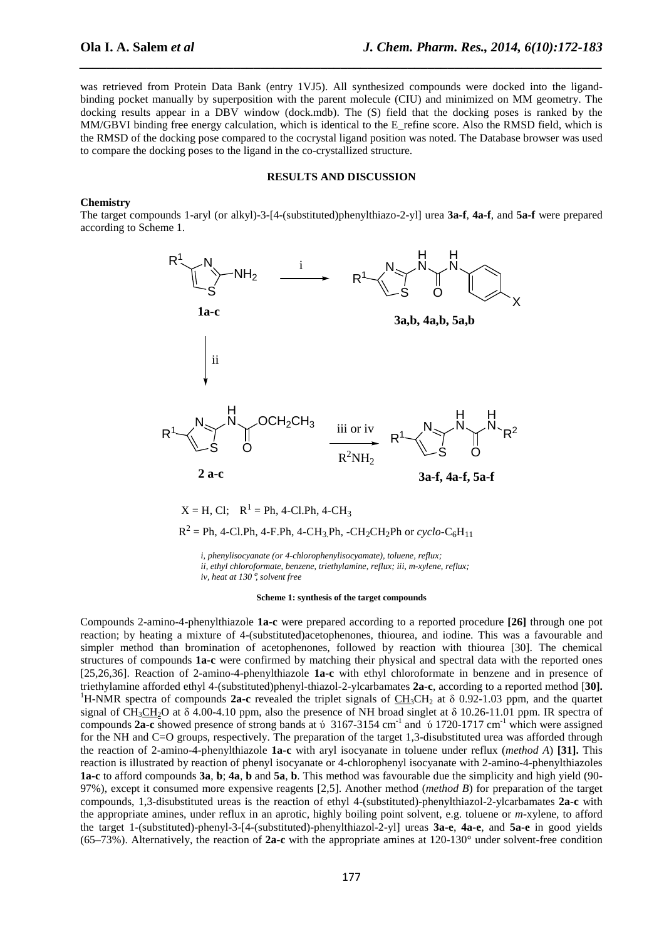was retrieved from Protein Data Bank (entry 1VJ5). All synthesized compounds were docked into the ligandbinding pocket manually by superposition with the parent molecule (CIU) and minimized on MM geometry. The docking results appear in a DBV window (dock.mdb). The (S) field that the docking poses is ranked by the MM/GBVI binding free energy calculation, which is identical to the E\_refine score. Also the RMSD field, which is the RMSD of the docking pose compared to the cocrystal ligand position was noted. The Database browser was used to compare the docking poses to the ligand in the co-crystallized structure.

*\_\_\_\_\_\_\_\_\_\_\_\_\_\_\_\_\_\_\_\_\_\_\_\_\_\_\_\_\_\_\_\_\_\_\_\_\_\_\_\_\_\_\_\_\_\_\_\_\_\_\_\_\_\_\_\_\_\_\_\_\_\_\_\_\_\_\_\_\_\_\_\_\_\_\_\_\_\_*

## **RESULTS AND DISCUSSION**

#### **Chemistry**

The target compounds 1-aryl (or alkyl)-3-[4-(substituted)phenylthiazo-2-yl] urea **3a-f**, **4a-f**, and **5a-f** were prepared according to Scheme 1.



*i, phenylisocyanate (or 4-chlorophenylisocyamate), toluene, reflux; ii, ethyl chloroformate, benzene, triethylamine, reflux; iii, m-xylene, reflux; iv, heat at 130*°*, solvent free* 

 $R^2 = Ph$ , 4-Cl.Ph, 4-F.Ph, 4-CH<sub>3.</sub>Ph, -CH<sub>2</sub>CH<sub>2</sub>Ph or *cyclo*-C<sub>6</sub>H<sub>11</sub>

#### **Scheme 1: synthesis of the target compounds**

Compounds 2-amino-4-phenylthiazole **1a-c** were prepared according to a reported procedure **[26]** through one pot reaction; by heating a mixture of 4-(substituted)acetophenones, thiourea, and iodine. This was a favourable and simpler method than bromination of acetophenones, followed by reaction with thiourea [30]. The chemical structures of compounds **1a-c** were confirmed by matching their physical and spectral data with the reported ones [25,26,36]. Reaction of 2-amino-4-phenylthiazole **1a-c** with ethyl chloroformate in benzene and in presence of triethylamine afforded ethyl 4-(substituted)phenyl-thiazol-2-ylcarbamates **2a-c**, according to a reported method [**30].** <sup>1</sup>H-NMR spectra of compounds **2a-c** revealed the triplet signals of CH<sub>3</sub>CH<sub>2</sub> at  $\delta$  0.92-1.03 ppm, and the quartet signal of CH<sub>3</sub>CH<sub>2</sub>O at  $\delta$  4.00-4.10 ppm, also the presence of NH broad singlet at  $\delta$  10.26-11.01 ppm. IR spectra of compounds 2a-c showed presence of strong bands at  $\acute{v}$  3167-3154 cm<sup>-1</sup> and  $\acute{v}$  1720-1717 cm<sup>-1</sup> which were assigned for the NH and C=O groups, respectively. The preparation of the target 1,3-disubstituted urea was afforded through the reaction of 2-amino-4-phenylthiazole **1a-c** with aryl isocyanate in toluene under reflux (*method A*) **[31].** This reaction is illustrated by reaction of phenyl isocyanate or 4-chlorophenyl isocyanate with 2-amino-4-phenylthiazoles **1a-c** to afford compounds **3a**, **b**; **4a**, **b** and **5a**, **b**. This method was favourable due the simplicity and high yield (90- 97%), except it consumed more expensive reagents [2,5]. Another method (*method B*) for preparation of the target compounds, 1,3-disubstituted ureas is the reaction of ethyl 4-(substituted)-phenylthiazol-2-ylcarbamates **2a-c** with the appropriate amines, under reflux in an aprotic, highly boiling point solvent, e.g. toluene or *m*-xylene, to afford the target 1-(substituted)-phenyl-3-[4-(substituted)-phenylthiazol-2-yl] ureas **3a-e**, **4a-e**, and **5a-e** in good yields (65–73%). Alternatively, the reaction of **2a-c** with the appropriate amines at 120-130° under solvent-free condition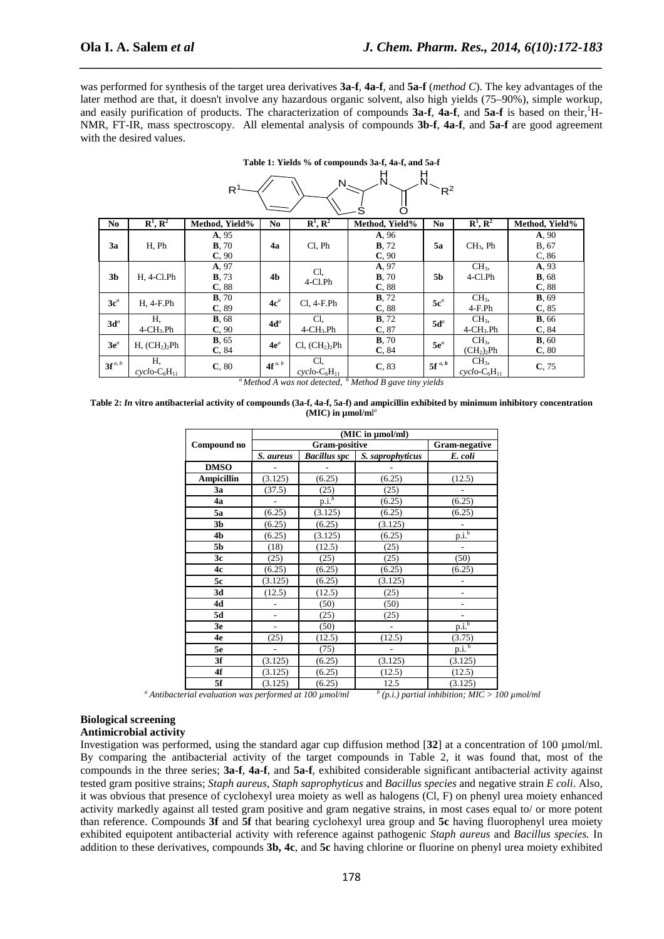was performed for synthesis of the target urea derivatives **3a-f**, **4a-f**, and **5a-f** (*method C*). The key advantages of the later method are that, it doesn't involve any hazardous organic solvent, also high yields (75–90%), simple workup, and easily purification of products. The characterization of compounds **3a-f**, **4a-f**, and **5a-f** is based on their, <sup>1</sup>H-NMR, FT-IR, mass spectroscopy. All elemental analysis of compounds **3b-f**, **4a-f**, and **5a-f** are good agreement with the desired values.

**Table 1: Yields % of compounds 3a-f, 4a-f, and 5a-f** 

*\_\_\_\_\_\_\_\_\_\_\_\_\_\_\_\_\_\_\_\_\_\_\_\_\_\_\_\_\_\_\_\_\_\_\_\_\_\_\_\_\_\_\_\_\_\_\_\_\_\_\_\_\_\_\_\_\_\_\_\_\_\_\_\_\_\_\_\_\_\_\_\_\_\_\_\_\_\_*

| н<br>N<br>N<br>R<br>$R^2$<br>ς |                                       |                                 |                |                                        |                                 |                |                                                       |                                 |
|--------------------------------|---------------------------------------|---------------------------------|----------------|----------------------------------------|---------------------------------|----------------|-------------------------------------------------------|---------------------------------|
| N <sub>0</sub>                 | $\mathbf{R}^1, \mathbf{R}^2$          | Method, Yield%                  | N <sub>0</sub> | $\mathbf{R}^1$ , $\mathbf{R}^2$        | Method, Yield%                  | N <sub>0</sub> | $\mathbf{R}^1$ , $\mathbf{R}^2$                       | Method, Yield%                  |
| 3a                             | H, Ph                                 | A, 95<br><b>B</b> , 70<br>C, 90 | 4a             | Cl, Ph                                 | A, 96<br><b>B</b> , 72<br>C, 90 | 5a             | $CH3$ , Ph                                            | A, 90<br>B, 67<br>C, 86         |
| 3 <sub>b</sub>                 | $H, 4$ -Cl.Ph                         | A, 97<br><b>B</b> , 73<br>C, 88 | 4 <sub>b</sub> | Cl.<br>$4$ -Cl.Ph                      | A, 97<br><b>B</b> , 70<br>C, 88 | 5b             | CH <sub>3</sub><br>4-Cl.Ph                            | A, 93<br><b>B</b> , 68<br>C, 88 |
| $3c^a$                         | H, 4-F.Ph                             | <b>B</b> , 70<br>C, 89          | $4c^a$         | $Cl, 4-F.Ph$                           | <b>B</b> , 72<br>C, 88          | $5c^a$         | CH <sub>3</sub><br>$4-F.Ph$                           | <b>B</b> , 69<br>C, 85          |
| $3d^a$                         | Η,<br>$4$ -CH <sub>3</sub> .Ph        | <b>B</b> , 68<br>C, 90          | $4d^a$         | Cl,<br>$4$ -CH <sub>3</sub> .Ph        | <b>B</b> , 72<br>C, 87          | $5d^a$         | CH <sub>3</sub><br>$4$ -CH <sub>3</sub> .Ph           | <b>B</b> , 66<br>C.84           |
| $3e^a$                         | H, (CH <sub>2</sub> ) <sub>2</sub> Ph | <b>B</b> , 65<br>C, 84          | $4e^a$         | Cl, (CH <sub>2</sub> ) <sub>2</sub> Ph | <b>B</b> , 70<br>C, 84          | $5e^a$         | CH <sub>3</sub><br>(CH <sub>2</sub> ) <sub>2</sub> Ph | B, 60<br>C, 80                  |
| $3f^{a, b}$                    | Н,<br>$cyclo$ - $C_6H_{11}$           | C, 80                           | $4f^{a, b}$    | Cl,<br>$cyclo$ - $C_6H_{11}$           | C, 83                           | $5f^{a, b}$    | CH <sub>3</sub><br>$cyclo$ - $C_6H_{11}$              | C, 75                           |

*<sup>a</sup>Method A was not detected, <sup>b</sup> Method B gave tiny yields* 

| Table 2: In vitro antibacterial activity of compounds (3a-f, 4a-f, 5a-f) and ampicillin exhibited by minimum inhibitory concentration |  |
|---------------------------------------------------------------------------------------------------------------------------------------|--|
| (MIC) in $\mu$ mol/ml <sup>a</sup>                                                                                                    |  |

|                   | (MIC in µmol/ml) |                     |                  |                          |  |  |
|-------------------|------------------|---------------------|------------------|--------------------------|--|--|
| Compound no       |                  | Gram-negative       |                  |                          |  |  |
|                   | S. aureus        | <b>Bacillus spc</b> | S. saprophyticus | E. coli                  |  |  |
| <b>DMSO</b>       |                  |                     |                  |                          |  |  |
| <b>Ampicillin</b> | (3.125)          | (6.25)              | (6.25)           | (12.5)                   |  |  |
| 3a                | (37.5)           | (25)                | (25)             |                          |  |  |
| 4a                | ٠                | p.i. <sup>b</sup>   | (6.25)           | (6.25)                   |  |  |
| 5a                | (6.25)           | (3.125)             | (6.25)           | (6.25)                   |  |  |
| 3 <sub>b</sub>    | (6.25)           | (6.25)              | (3.125)          |                          |  |  |
| 4b                | (6.25)           | (3.125)             | (6.25)           | p.i. <sup>b</sup>        |  |  |
| 5b                | (18)             | (12.5)              | (25)             | $\overline{\phantom{a}}$ |  |  |
| 3c                | (25)             | (25)                | (25)             | (50)                     |  |  |
| 4c                | (6.25)           | (6.25)              | (6.25)           | (6.25)                   |  |  |
| 5c                | (3.125)          | (6.25)              | (3.125)          |                          |  |  |
| 3d                | (12.5)           | (12.5)              | (25)             |                          |  |  |
| 4d                | -                | (50)                | (50)             | $\qquad \qquad -$        |  |  |
| 5d                | $\overline{a}$   | (25)                | (25)             |                          |  |  |
| 3e                | ÷,               | (50)                | L,               | p.i. <sup>b</sup>        |  |  |
| 4e                | (25)             | (12.5)              | (12.5)           | (3.75)                   |  |  |
| 5e                |                  | (75)                |                  | p.i. <sup>b</sup>        |  |  |
| 3f                | (3.125)          | (6.25)              | (3.125)          | (3.125)                  |  |  |
| 4f                | (3.125)          | (6.25)              | (12.5)           | (12.5)                   |  |  |
| 5f                | (3.125)          | (6.25)              | 12.5             | (3.125)                  |  |  |

<sup>*a*</sup> Antibacterial evaluation was performed at 100  $\mu$ mol/ml  $\alpha$ <sup>*b*</sup> (p.i.) partial inhibition; MIC > 100  $\mu$ mol/ml

#### **Biological screening Antimicrobial activity**

Investigation was performed, using the standard agar cup diffusion method [**32**] at a concentration of 100 µmol/ml. By comparing the antibacterial activity of the target compounds in Table 2, it was found that, most of the compounds in the three series; **3a-f**, **4a-f**, and **5a-f**, exhibited considerable significant antibacterial activity against tested gram positive strains; *Staph aureus*, *Staph saprophyticus* and *Bacillus species* and negative strain *E coli*. Also, it was obvious that presence of cyclohexyl urea moiety as well as halogens (Cl, F) on phenyl urea moiety enhanced activity markedly against all tested gram positive and gram negative strains, in most cases equal to/ or more potent than reference. Compounds **3f** and **5f** that bearing cyclohexyl urea group and **5c** having fluorophenyl urea moiety exhibited equipotent antibacterial activity with reference against pathogenic *Staph aureus* and *Bacillus species.* In addition to these derivatives, compounds **3b, 4c**, and **5c** having chlorine or fluorine on phenyl urea moiety exhibited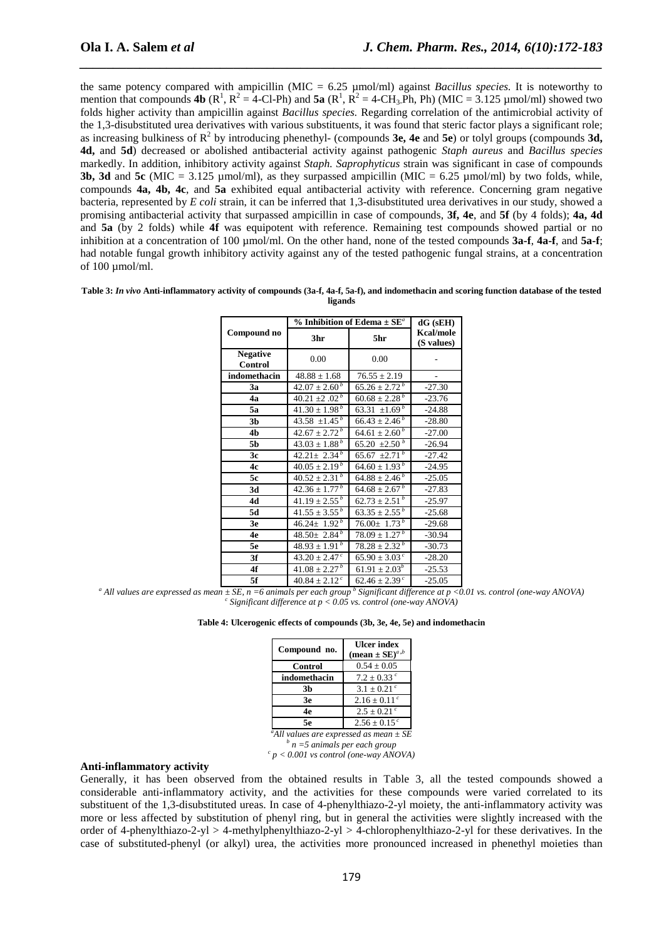the same potency compared with ampicillin (MIC = 6.25 µmol/ml) against *Bacillus species.* It is noteworthy to mention that compounds **4b**  $(R^1, R^2 = 4$ -Cl-Ph) and **5a**  $(R^1, R^2 = 4$ -CH<sub>3</sub>.Ph, Ph) (MIC = 3.125 µmol/ml) showed two folds higher activity than ampicillin against *Bacillus species.* Regarding correlation of the antimicrobial activity of the 1,3*-*disubstituted urea derivatives with various substituents, it was found that steric factor plays a significant role; as increasing bulkiness of  $\mathbb{R}^2$  by introducing phenethyl- (compounds **3e, 4e** and **5e**) or tolyl groups (compounds **3d, 4d,** and **5d**) decreased or abolished antibacterial activity against pathogenic *Staph aureus* and *Bacillus species*  markedly. In addition, inhibitory activity against *Staph. Saprophyticus* strain was significant in case of compounds **3b, 3d and 5c** (MIC =  $3.125 \mu$ mol/ml), as they surpassed ampicillin (MIC =  $6.25 \mu$ mol/ml) by two folds, while, compounds **4a, 4b, 4c**, and **5a** exhibited equal antibacterial activity with reference. Concerning gram negative bacteria, represented by *E coli* strain, it can be inferred that 1,3-disubstituted urea derivatives in our study, showed a promising antibacterial activity that surpassed ampicillin in case of compounds, **3f, 4e**, and **5f** (by 4 folds); **4a, 4d** and **5a** (by 2 folds) while **4f** was equipotent with reference. Remaining test compounds showed partial or no inhibition at a concentration of 100  $\mu$ mol/ml. On the other hand, none of the tested compounds **3a-f**, **4a-f**, and **5a-f**; had notable fungal growth inhibitory activity against any of the tested pathogenic fungal strains, at a concentration of  $100 \text{ umol/ml}$ .

*\_\_\_\_\_\_\_\_\_\_\_\_\_\_\_\_\_\_\_\_\_\_\_\_\_\_\_\_\_\_\_\_\_\_\_\_\_\_\_\_\_\_\_\_\_\_\_\_\_\_\_\_\_\_\_\_\_\_\_\_\_\_\_\_\_\_\_\_\_\_\_\_\_\_\_\_\_\_*

| Table 3: In vivo Anti-inflammatory activity of compounds (3a-f, 4a-f, 5a-f), and indomethacin and scoring function database of the tested |
|-------------------------------------------------------------------------------------------------------------------------------------------|
| ligands                                                                                                                                   |

|                            | % Inhibition of Edema $\pm$ SE <sup><i>a</i></sup> | $dG$ (sEH)                    |                         |  |
|----------------------------|----------------------------------------------------|-------------------------------|-------------------------|--|
| Compound no                | 3hr                                                | 5hr                           | Kcal/mole<br>(S values) |  |
| <b>Negative</b><br>Control | 0.00                                               | 0.00                          |                         |  |
| indomethacin               | $48.88 \pm 1.68$                                   | $76.55 \pm 2.19$              |                         |  |
| 3a                         | $42.07 \pm 2.60^{\,b}$                             | $65.26 \pm 2.72^b$            | $-27.30$                |  |
| 4a                         | 40.21 $\pm 2.02^b$                                 | $60.68 \pm 2.28^b$            | $-23.76$                |  |
| 5a                         | $41.30 \pm 1.98^b$                                 | 63.31 $\pm 1.69^b$            | $-24.88$                |  |
| 3 <sub>b</sub>             | 43.58 $\pm$ 1.45 <sup>b</sup>                      | $66.43 \pm 2.46^b$            | $-28.80$                |  |
| 4b                         | $42.67 \pm 2.72^{b}$                               | $64.61 \pm 2.60^b$            | $-27.00$                |  |
| 5b                         | $43.03 \pm 1.88^b$                                 | 65.20 $\pm 2.50^b$            | $-26.94$                |  |
| 3c                         | $42.21 \pm 2.34^{b}$                               | 65.67 $\overline{\pm 2.71}^b$ | $-27.42$                |  |
| 4c                         | $40.05 \pm 2.19^b$                                 | $64.60 \pm 1.93^b$            | $-24.95$                |  |
| 5c                         | $40.52 \pm 2.31^b$                                 | $64.88 \pm 2.46^b$            | $-25.05$                |  |
| 3d                         | $42.36 \pm 1.77^b$                                 | $64.68 \pm 2.67^b$            | $-27.83$                |  |
| 4d                         | $41.19 \pm 2.55^b$                                 | $62.73 \pm 2.51^b$            | $-25.97$                |  |
| 5d                         | $41.55 \pm 3.55^b$                                 | $63.35 \pm 2.55^b$            | $-25.68$                |  |
| 3e                         | $46.24 \pm 1.92^b$                                 | $76.00 \pm 1.73^b$            | $-29.68$                |  |
| 4e                         | $48.50 \pm 2.84^b$                                 | $78.09 \pm 1.27^{\,b}$        | $-30.94$                |  |
| 5e                         | $48.93 \pm 1.91^b$                                 | $78.28 \pm 2.32^{\,b}$        | $-30.73$                |  |
| 3f                         | $43.20 \pm 2.47$ <sup>c</sup>                      | $65.90 \pm 3.03^{\circ}$      | $-28.20$                |  |
| 4f                         | $41.08 \pm 2.27^b$                                 | $61.91 \pm 2.03^{b}$          | $-25.53$                |  |
| 5f                         | $40.84 \pm 2.12$ <sup>c</sup>                      | $62.46 \pm 2.39^{\circ}$      | $-25.05$                |  |

<sup>*a*</sup> All values are expressed as mean  $\pm$  SE, n =6 animals per each group <sup>b</sup> Significant difference at p <0.01 vs. control (one-way ANOVA) *c Significant difference at p < 0.05 vs. control (one-way ANOVA)*

**Table 4: Ulcerogenic effects of compounds (3b, 3e, 4e, 5e) and indomethacin** 

| Compound no. | <b>Ulcer index</b><br>(mean $\pm$ SE) <sup><i>a</i>,<i>b</i></sup> |
|--------------|--------------------------------------------------------------------|
| Control      | $0.54 \pm 0.05$                                                    |
| indomethacin | $7.2 + 0.33$ c                                                     |
| 3b           | $3.1 \pm 0.21^{\circ}$                                             |
| 3e           | $2.16 \pm 0.11^{\circ}$                                            |
| 4е           | $2.5 \pm 0.21^{\circ}$                                             |
| 5е           | $2.56 \pm 0.15$ <sup>c</sup>                                       |
|              |                                                                    |

*<sup>a</sup>All values are expressed as mean ± SE b n =5 animals per each group c p < 0.001 vs control (one-way ANOVA)* 

#### **Anti-inflammatory activity**

Generally, it has been observed from the obtained results in Table 3, all the tested compounds showed a considerable anti-inflammatory activity, and the activities for these compounds were varied correlated to its substituent of the 1,3-disubstituted ureas. In case of 4-phenylthiazo-2-yl moiety, the anti-inflammatory activity was more or less affected by substitution of phenyl ring, but in general the activities were slightly increased with the order of 4-phenylthiazo-2-yl > 4-methylphenylthiazo-2-yl > 4-chlorophenylthiazo-2-yl for these derivatives. In the case of substituted-phenyl (or alkyl) urea, the activities more pronounced increased in phenethyl moieties than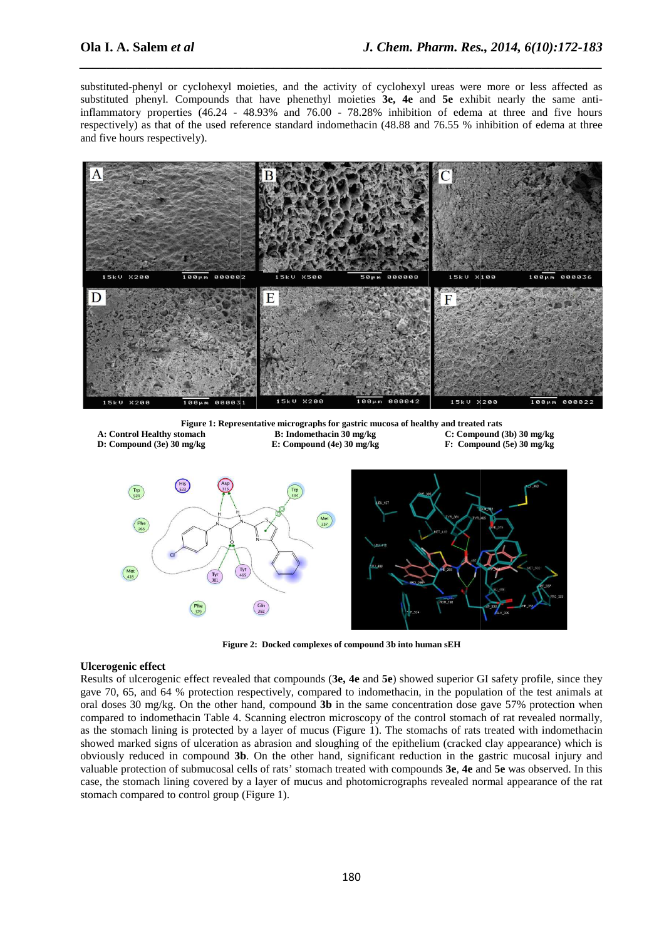substituted-phenyl or cyclohexyl moieties, and the activity of cyclohexyl ureas were more or less affected as substituted phenyl. Compounds that have phenethyl moieties **3e, 4e** and **5e** exhibit nearly the same antiinflammatory properties (46.24 - 48.93% and 76.00 - 78.28% inhibition of edema at three and five hours respectively) as that of the used reference standard indomethacin (48.88 and 76.55 % inhibition of edema at three and five hours respectively).

*\_\_\_\_\_\_\_\_\_\_\_\_\_\_\_\_\_\_\_\_\_\_\_\_\_\_\_\_\_\_\_\_\_\_\_\_\_\_\_\_\_\_\_\_\_\_\_\_\_\_\_\_\_\_\_\_\_\_\_\_\_\_\_\_\_\_\_\_\_\_\_\_\_\_\_\_\_\_*



**Figure 1: Representative micrographs for gastric mucosa of healthy and treated rats A: Control Healthy stomach B:** Indomethacin 30 mg/kg

- **D: Compound (3e) 30 mg/kg**
- **E: Compound (4e) 30 mg/kg**
- **(3b) 30 mg/kg (5e) 30 mg/kg**



**Figure 2 2: Docked complexes of compound 3b into human sEH** 

### **Ulcerogenic effect**

Results of ulcerogenic effect revealed that compounds ( **3e, 4e** and **5e**) showed superior GI safety profile, since they gave 70, 65, and 64 % protection respectively, compared to indomethacin, in the population of the test animals at oral doses 30 mg/kg. On the other hand, compound 3b in the same concentration dose gave 57% protection when compared to indomethacin Table 4. Scanning electron microscopy of the control stomach of rat revealed normally, as the stomach lining is protected by a layer of mucus (Figure 1). The stomachs of rats treated with indomethacin showed marked signs of ulceration as abrasion and sloughing of the epithelium (cracked clay appearance) which is showed marked signs of ulceration as abrasion and sloughing of the epithelium (cracked clay appearance) which is<br>obviously reduced in compound 3b. On the other hand, significant reduction in the gastric mucosal injury and valuable protection of submucosal cells of rats' stomach treated with compounds 3e, 4e and 5e was observed. In this case, the stomach lining covered by a layer of mucus and photomicrographs revealed normal appearance of the rat stomach compared to control group (Figure 1).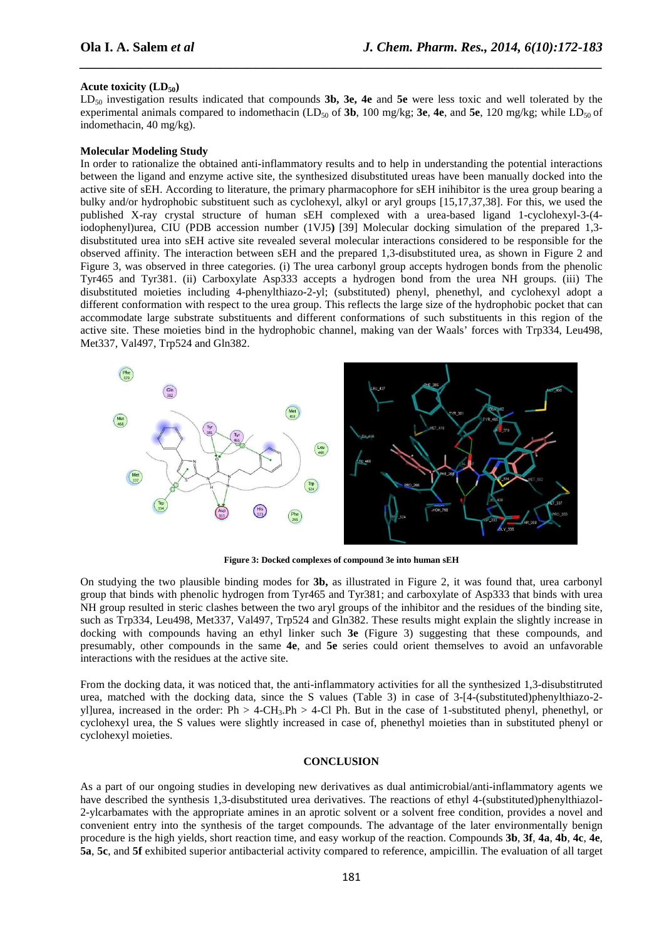#### **Acute toxicity (LD50)**

LD<sub>50</sub> investigation results indicated that compounds **3b, 3e, 4e** and 5e were less toxic and well tolerated by the experimental animals compared to indomethacin (LD<sub>50</sub> of **3b**, 100 mg/kg; **3e**, **4e**, and **5e**, 120 mg/kg; while LD<sub>50</sub> of indomethacin, 40 mg/kg).

*\_\_\_\_\_\_\_\_\_\_\_\_\_\_\_\_\_\_\_\_\_\_\_\_\_\_\_\_\_\_\_\_\_\_\_\_\_\_\_\_\_\_\_\_\_\_\_\_\_\_\_\_\_\_\_\_\_\_\_\_\_\_\_\_\_\_\_\_\_\_\_\_\_\_\_\_\_\_*

#### **Molecular Modeling Study**

In order to rationalize the obtained anti-inflammatory results and to help in understanding the potential interactions between the ligand and enzyme active site, the synthesized disubstituted ureas have been manually docked into the active site of sEH. According to literature, the primary pharmacophore for sEH inihibitor is the urea group bearing a bulky and/or hydrophobic substituent such as cyclohexyl, alkyl or aryl groups [15,17,37,38]. For this, we used the published X-ray crystal structure of human sEH complexed with a urea-based ligand 1-cyclohexyl-3-(4 iodophenyl)urea, CIU (PDB accession number (1VJ5**)** [39] Molecular docking simulation of the prepared 1,3 disubstituted urea into sEH active site revealed several molecular interactions considered to be responsible for the observed affinity. The interaction between sEH and the prepared 1,3-disubstituted urea, as shown in Figure 2 and Figure 3, was observed in three categories. (i) The urea carbonyl group accepts hydrogen bonds from the phenolic Tyr465 and Tyr381. (ii) Carboxylate Asp333 accepts a hydrogen bond from the urea NH groups. (iii) The disubstituted moieties including 4-phenylthiazo-2-yl; (substituted) phenyl, phenethyl, and cyclohexyl adopt a different conformation with respect to the urea group. This reflects the large size of the hydrophobic pocket that can accommodate large substrate substituents and different conformations of such substituents in this region of the active site. These moieties bind in the hydrophobic channel, making van der Waals' forces with Trp334, Leu498, Met337, Val497, Trp524 and Gln382.



**Figure 3: Docked complexes of compound 3e into human sEH** 

On studying the two plausible binding modes for **3b,** as illustrated in Figure 2, it was found that, urea carbonyl group that binds with phenolic hydrogen from Tyr465 and Tyr381; and carboxylate of Asp333 that binds with urea NH group resulted in steric clashes between the two aryl groups of the inhibitor and the residues of the binding site, such as Trp334, Leu498, Met337, Val497, Trp524 and Gln382. These results might explain the slightly increase in docking with compounds having an ethyl linker such **3e** (Figure 3) suggesting that these compounds, and presumably, other compounds in the same **4e**, and **5e** series could orient themselves to avoid an unfavorable interactions with the residues at the active site.

From the docking data, it was noticed that, the anti-inflammatory activities for all the synthesized 1,3-disubstitruted urea, matched with the docking data, since the S values (Table 3) in case of 3-[4-(substituted)phenylthiazo-2 yl]urea, increased in the order:  $Ph > 4-CH_3$ . $Ph > 4-Cl$  Ph. But in the case of 1-substituted phenyl, phenethyl, or cyclohexyl urea, the S values were slightly increased in case of, phenethyl moieties than in substituted phenyl or cyclohexyl moieties.

#### **CONCLUSION**

As a part of our ongoing studies in developing new derivatives as dual antimicrobial/anti-inflammatory agents we have described the synthesis 1,3-disubstituted urea derivatives. The reactions of ethyl 4-(substituted)phenylthiazol-2-ylcarbamates with the appropriate amines in an aprotic solvent or a solvent free condition, provides a novel and convenient entry into the synthesis of the target compounds. The advantage of the later environmentally benign procedure is the high yields, short reaction time, and easy workup of the reaction. Compounds **3b**, **3f**, **4a**, **4b**, **4c**, **4e**, **5a**, **5c**, and **5f** exhibited superior antibacterial activity compared to reference, ampicillin. The evaluation of all target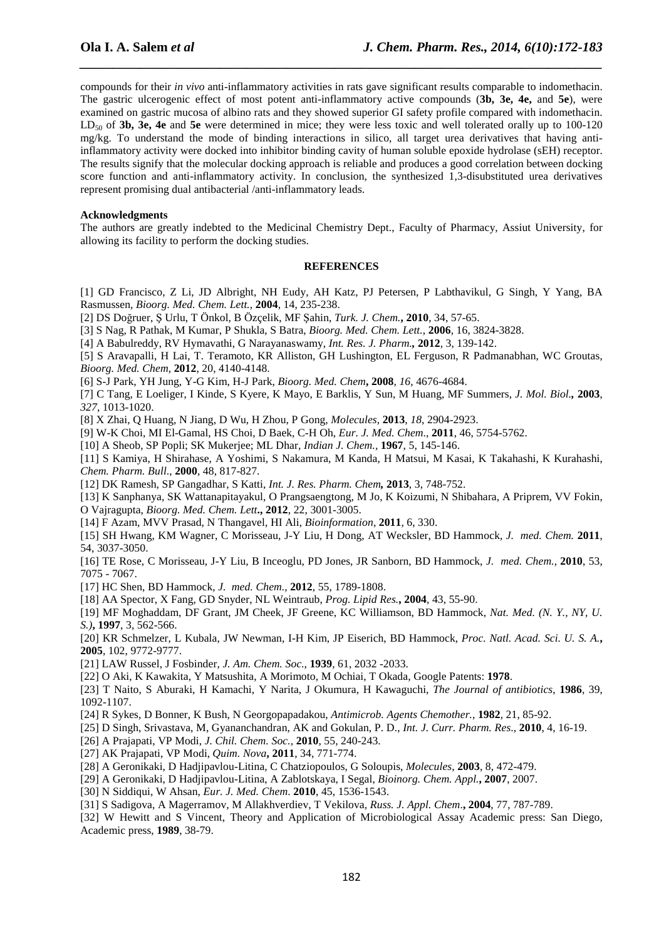compounds for their *in vivo* anti-inflammatory activities in rats gave significant results comparable to indomethacin. The gastric ulcerogenic effect of most potent anti-inflammatory active compounds (**3b, 3e, 4e,** and **5e**), were examined on gastric mucosa of albino rats and they showed superior GI safety profile compared with indomethacin. LD<sub>50</sub> of **3b, 3e, 4e** and **5e** were determined in mice; they were less toxic and well tolerated orally up to 100-120 mg/kg. To understand the mode of binding interactions in silico, all target urea derivatives that having antiinflammatory activity were docked into inhibitor binding cavity of human soluble epoxide hydrolase (sEH) receptor. The results signify that the molecular docking approach is reliable and produces a good correlation between docking score function and anti-inflammatory activity. In conclusion, the synthesized 1,3-disubstituted urea derivatives represent promising dual antibacterial /anti-inflammatory leads.

*\_\_\_\_\_\_\_\_\_\_\_\_\_\_\_\_\_\_\_\_\_\_\_\_\_\_\_\_\_\_\_\_\_\_\_\_\_\_\_\_\_\_\_\_\_\_\_\_\_\_\_\_\_\_\_\_\_\_\_\_\_\_\_\_\_\_\_\_\_\_\_\_\_\_\_\_\_\_*

### **Acknowledgments**

The authors are greatly indebted to the Medicinal Chemistry Dept., Faculty of Pharmacy, Assiut University, for allowing its facility to perform the docking studies.

#### **REFERENCES**

- [1] GD Francisco, Z Li, JD Albright, NH Eudy, AH Katz, PJ Petersen, P Labthavikul, G Singh, Y Yang, BA Rasmussen*, Bioorg. Med. Chem. Lett.*, **2004**, 14, 235-238.
- [2] DS Doğruer, Ş Urlu, T Önkol, B Özçelik, MF Şahin, *Turk. J. Chem.***, 2010**, 34, 57-65.
- [3] S Nag, R Pathak, M Kumar, P Shukla, S Batra, *Bioorg. Med. Chem. Lett.*, **2006**, 16, 3824-3828.
- [4] A Babulreddy, RV Hymavathi, G Narayanaswamy, *Int. Res. J. Pharm.,* **2012**, 3, 139-142.
- [5] S Aravapalli, H Lai, T. Teramoto, KR Alliston, GH Lushington, EL Ferguson, R Padmanabhan, WC Groutas, *Bioorg. Med. Chem,* **2012**, 20, 4140-4148.
- [6] S-J Park, YH Jung, Y-G Kim, H-J Park, *Bioorg. Med. Chem***, 2008**, *16*, 4676-4684.
- [7] C Tang, E Loeliger, I Kinde, S Kyere, K Mayo, E Barklis, Y Sun, M Huang, MF Summers, *J. Mol. Biol.,* **2003**, *327*, 1013-1020.
- [8] X Zhai, Q Huang, N Jiang, D Wu, H Zhou, P Gong, *Molecules,* **2013**, *18*, 2904-2923.
- [9] W-K Choi, MI El-Gamal, HS Choi, D Baek, C-H Oh, *Eur. J. Med. Chem*., **2011**, 46, 5754-5762.
- [10] A Sheob, SP Popli; SK Mukerjee; ML Dhar, *Indian J. Chem.,* **1967**, 5, 145-146.
- [11] S Kamiya, H Shirahase, A Yoshimi, S Nakamura, M Kanda, H Matsui, M Kasai, K Takahashi, K Kurahashi, *Chem. Pharm. Bull*., **2000**, 48, 817-827.
- [12] DK Ramesh, SP Gangadhar, S Katti, *Int. J. Res. Pharm. Chem,* **2013**, 3, 748-752.
- [13] K Sanphanya, SK Wattanapitayakul, O Prangsaengtong, M Jo, K Koizumi, N Shibahara, A Priprem, VV Fokin, O Vajragupta, *Bioorg. Med. Chem. Lett***., 2012**, 22, 3001-3005.
- [14] F Azam, MVV Prasad, N Thangavel, HI Ali, *Bioinformation*, **2011**, 6, 330.
- [15] SH Hwang, KM Wagner, C Morisseau, J-Y Liu, H Dong, AT Wecksler, BD Hammock, *J. med. Chem.* **2011**, 54, 3037-3050.
- [16] TE Rose, C Morisseau, J-Y Liu, B Inceoglu, PD Jones, JR Sanborn, BD Hammock, *J. med. Chem.,* **2010**, 53, 7075 - 7067.
- [17] HC Shen, BD Hammock, *J. med. Chem.,* **2012**, 55, 1789-1808.
- [18] AA Spector, X Fang, GD Snyder, NL Weintraub, *Prog. Lipid Res.***, 2004**, 43, 55-90.
- [19] MF Moghaddam, DF Grant, JM Cheek, JF Greene, KC Williamson, BD Hammock, *Nat. Med. (N. Y., NY, U. S.)***, 1997**, 3, 562-566.
- [20] KR Schmelzer, L Kubala, JW Newman, I-H Kim, JP Eiserich, BD Hammock, *Proc. Natl. Acad. Sci. U. S. A.***, 2005**, 102, 9772-9777.
- [21] LAW Russel, J Fosbinder, *J. Am. Chem. Soc*., **1939**, 61, 2032 -2033.
- [22] O Aki, K Kawakita, Y Matsushita, A Morimoto, M Ochiai, T Okada, Google Patents: **1978**.
- [23] T Naito, S Aburaki, H Kamachi, Y Narita, J Okumura, H Kawaguchi, *The Journal of antibiotics*, **1986**, 39, 1092-1107.
- [24] R Sykes, D Bonner, K Bush, N Georgopapadakou, *Antimicrob. Agents Chemother.*, **1982**, 21, 85-92.
- [25] D Singh, Srivastava, M, Gyananchandran, AK and Gokulan, P. D., *Int. J. Curr. Pharm. Res*., **2010**, 4, 16-19.
- [26] A Prajapati, VP Modi, *J. Chil. Chem. Soc.,* **2010**, 55, 240-243.
- [27] AK Prajapati, VP Modi, *Quim. Nova***, 2011**, 34, 771-774.
- [28] A Geronikaki, D Hadjipavlou-Litina, C Chatziopoulos, G Soloupis, *Molecules*, **2003**, 8, 472-479.
- [29] A Geronikaki, D Hadjipavlou-Litina, A Zablotskaya, I Segal, *Bioinorg. Chem. Appl.***, 2007**, 2007.
- [30] N Siddiqui, W Ahsan, *Eur. J. Med. Chem*. **2010**, 45, 1536-1543.
- [31] S Sadigova, A Magerramov, M Allakhverdiev, T Vekilova, *Russ. J. Appl. Chem*.**, 2004**, 77, 787-789.
- [32] W Hewitt and S Vincent, Theory and Application of Microbiological Assay Academic press: San Diego, Academic press, **1989**, 38-79.